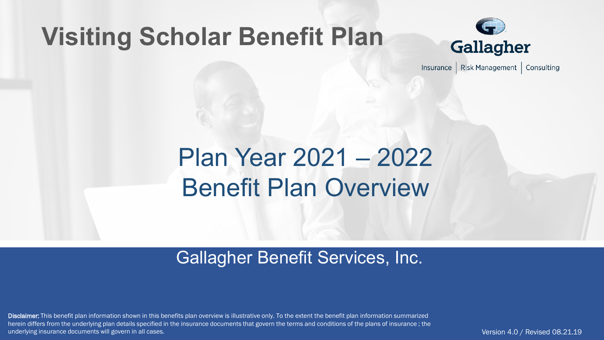### **Visiting Scholar Benefit Plan**



Risk Management | Consulting Insurance

## Plan Year 2021 – 2022 Benefit Plan Overview

### Gallagher Benefit Services, Inc.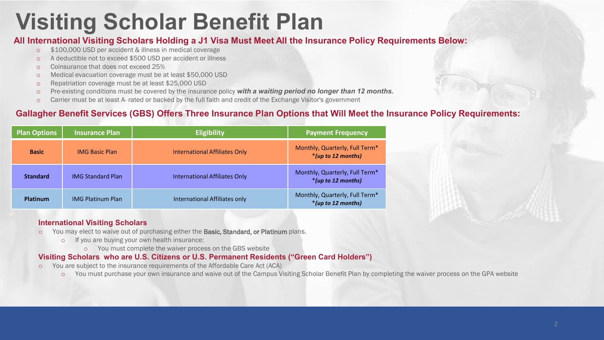### **Visiting Scholar Benefit Plan**

#### **All International Visiting Scholars Holding a J1 Visa Must Meet All the Insurance Policy Requirements Below:**

- o \$100,000 USD per accident & illness in medical coverage
- o A deductible not to exceed \$500 USD per accident or illness
- o Coinsurance that does not exceed 25%
- o Medical evacuation coverage must be at least \$50,000 USD
- o Repatriation coverage must be at least \$25,000 USD
- o Pre-existing conditions must be covered by the insurance policy *with a waiting period no longer than 12 months.*
- o Carrier must be at least A- rated or backed by the full faith and credit of the Exchange Visitor's government

#### **Gallagher Benefit Services (GBS) Offers Three Insurance Plan Options that Will Meet the Insurance Policy Requirements:**

| <b>Plan Options</b> | <b>Insurance Plan</b>    | <b>Eligibility</b>                   | <b>Payment Frequency</b>                             |
|---------------------|--------------------------|--------------------------------------|------------------------------------------------------|
| <b>Basic</b>        | <b>IMG Basic Plan</b>    | <b>International Affiliates Only</b> | Monthly, Quarterly, Full Term*<br>*(up to 12 months) |
| <b>Standard</b>     | <b>IMG Standard Plan</b> | <b>International Affiliates Only</b> | Monthly, Quarterly, Full Term*<br>*(up to 12 months) |
| Platinum            | <b>IMG Platinum Plan</b> | International Affiliates only        | Monthly, Quarterly, Full Term*<br>*(up to 12 months) |

#### **International Visiting Scholars**

- o You may elect to waive out of purchasing either the Basic, Standard, or Platinum plans.
	- o If you are buying your own health insurance:
		- o You must complete the waiver process on the GBS website

#### **Visiting Scholars who are U.S. Citizens or U.S. Permanent Residents ("Green Card Holders")**

- o You are subject to the insurance requirements of the Affordable Care Act (ACA)
	- o You must purchase your own insurance and waive out of the Campus Visiting Scholar Benefit Plan by completing the waiver process on the GPA website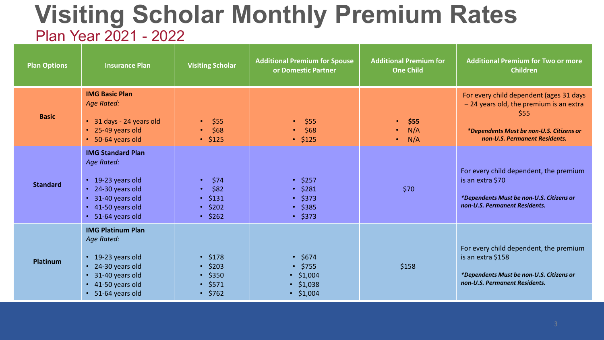### **Visiting Scholar Monthly Premium Rates** Plan Year 2021 - 2022

| <b>Plan Options</b> | <b>Insurance Plan</b>                                                                                                                                 | <b>Visiting Scholar</b>                                                           | <b>Additional Premium for Spouse</b><br>or Domestic Partner                               | <b>Additional Premium for</b><br><b>One Child</b>         | <b>Additional Premium for Two or more</b><br><b>Children</b>                                                                                                           |
|---------------------|-------------------------------------------------------------------------------------------------------------------------------------------------------|-----------------------------------------------------------------------------------|-------------------------------------------------------------------------------------------|-----------------------------------------------------------|------------------------------------------------------------------------------------------------------------------------------------------------------------------------|
| <b>Basic</b>        | <b>IMG Basic Plan</b><br><b>Age Rated:</b><br>• 31 days - 24 years old<br>• 25-49 years old<br>• 50-64 years old                                      | \$55<br>$\bullet$<br>\$68<br>$\bullet$<br>$\cdot$ \$125                           | \$55<br>$\bullet$<br>\$68<br>$\cdot$ \$125                                                | \$55<br>$\bullet$<br>N/A<br>$\bullet$<br>N/A<br>$\bullet$ | For every child dependent (ages 31 days<br>-24 years old, the premium is an extra<br>\$55<br>*Dependents Must be non-U.S. Citizens or<br>non-U.S. Permanent Residents. |
| <b>Standard</b>     | <b>IMG Standard Plan</b><br>Age Rated:<br>• 19-23 years old<br>• 24-30 years old<br>• 31-40 years old<br>$\cdot$ 41-50 years old<br>• 51-64 years old | \$74<br>\$82<br>$\cdot$ \$131<br>$\cdot$ \$202<br>$\cdot$ \$262                   | \$257<br>$\cdot$ \$281<br>$\cdot$ \$373<br>$\cdot$ \$385<br>$\cdot$ \$373                 | \$70                                                      | For every child dependent, the premium<br>is an extra \$70<br>*Dependents Must be non-U.S. Citizens or<br>non-U.S. Permanent Residents.                                |
| Platinum            | <b>IMG Platinum Plan</b><br>Age Rated:<br>• 19-23 years old<br>• 24-30 years old<br>• 31-40 years old<br>$\cdot$ 41-50 years old<br>• 51-64 years old | $\cdot$ \$178<br>$\cdot$ \$203<br>$\cdot$ \$350<br>$\cdot$ \$571<br>$\cdot$ \$762 | $\cdot$ \$674<br>$\cdot$ \$755<br>\$1,004<br>$\bullet$<br>\$1,038<br>$\bullet$<br>\$1,004 | \$158                                                     | For every child dependent, the premium<br>is an extra \$158<br>*Dependents Must be non-U.S. Citizens or<br>non-U.S. Permanent Residents.                               |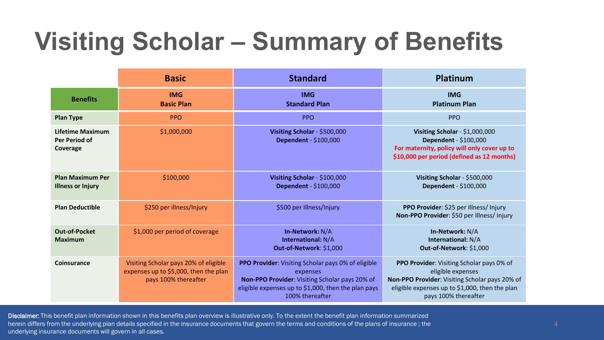|                                                      | <b>Basic</b>                                                                                           | <b>Standard</b>                                                                                                                                                                            | Platinum                                                                                                                                                                                   |
|------------------------------------------------------|--------------------------------------------------------------------------------------------------------|--------------------------------------------------------------------------------------------------------------------------------------------------------------------------------------------|--------------------------------------------------------------------------------------------------------------------------------------------------------------------------------------------|
| <b>Benefits</b>                                      | <b>IMG</b><br><b>Basic Plan</b>                                                                        | <b>IMG</b><br><b>Standard Plan</b>                                                                                                                                                         | <b>IMG</b><br><b>Platinum Plan</b>                                                                                                                                                         |
| <b>Plan Type</b>                                     | <b>PPO</b>                                                                                             | <b>PPO</b>                                                                                                                                                                                 | <b>PPO</b>                                                                                                                                                                                 |
| Lifetime Maximum<br><b>Per Period of</b><br>Coverage | \$1,000,000                                                                                            | Visiting Scholar - \$500,000<br>Dependent - \$100,000                                                                                                                                      | Visiting Scholar - $$1,000,000$<br>Dependent - \$100,000<br>For maternity, policy will only cover up to<br>\$10,000 per period (defined as 12 months)                                      |
| <b>Plan Maximum Per</b><br><b>Illness or Injury</b>  | \$100,000                                                                                              | Visiting Scholar - \$100,000<br><b>Dependent - \$100,000</b>                                                                                                                               | Visiting Scholar - \$500,000<br>Dependent - \$100,000                                                                                                                                      |
| <b>Plan Deductible</b>                               | \$250 per illness/Injury                                                                               | \$500 per Illness/Injury                                                                                                                                                                   | PPO Provider: \$25 per Illness/ Injury<br>Non-PPO Provider: \$50 per Illness/ Injury                                                                                                       |
| <b>Out-of-Pocket</b><br><b>Maximum</b>               | \$1,000 per period of coverage                                                                         | In-Network: N/A<br><b>International: N/A</b><br>Out-of-Network: \$1,000                                                                                                                    | In-Network: N/A<br>International: N/A<br>Out-of-Network: \$1,000                                                                                                                           |
| Coinsurance                                          | Visiting Scholar pays 20% of eligible<br>expenses up to \$5,000, then the plan<br>pays 100% thereafter | PPO Provider: Visiting Scholar pays 0% of eligible<br>expenses<br>Non-PPO Provider: Visiting Scholar pays 20% of<br>eligible expenses up to \$1,000, then the plan pays<br>100% thereafter | PPO Provider: Visiting Scholar pays 0% of<br>eligible expenses<br>Non-PPO Provider: Visiting Scholar pays 20% of<br>eligible expenses up to \$1,000, then the plan<br>pays 100% thereafter |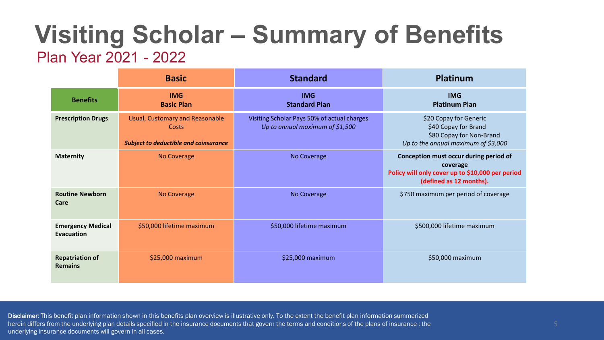### Plan Year 2021 - 2022

|                                          | <b>Basic</b>                                                                             | <b>Standard</b>                                                                | <b>Platinum</b>                                                                                                                   |
|------------------------------------------|------------------------------------------------------------------------------------------|--------------------------------------------------------------------------------|-----------------------------------------------------------------------------------------------------------------------------------|
| <b>Benefits</b>                          | <b>IMG</b><br><b>Basic Plan</b>                                                          | <b>IMG</b><br><b>Standard Plan</b>                                             | <b>IMG</b><br><b>Platinum Plan</b>                                                                                                |
| <b>Prescription Drugs</b>                | Usual, Customary and Reasonable<br>Costs<br><b>Subject to deductible and coinsurance</b> | Visiting Scholar Pays 50% of actual charges<br>Up to annual maximum of \$1,500 | \$20 Copay for Generic<br>\$40 Copay for Brand<br>\$80 Copay for Non-Brand<br>Up to the annual maximum of \$3,000                 |
| <b>Maternity</b>                         | <b>No Coverage</b>                                                                       | No Coverage                                                                    | Conception must occur during period of<br>coverage<br>Policy will only cover up to \$10,000 per period<br>(defined as 12 months). |
| <b>Routine Newborn</b><br>Care           | No Coverage                                                                              | No Coverage                                                                    | \$750 maximum per period of coverage                                                                                              |
| <b>Emergency Medical</b><br>Evacuation   | \$50,000 lifetime maximum                                                                | \$50,000 lifetime maximum                                                      | \$500,000 lifetime maximum                                                                                                        |
| <b>Repatriation of</b><br><b>Remains</b> | \$25,000 maximum                                                                         | \$25,000 maximum                                                               | \$50,000 maximum                                                                                                                  |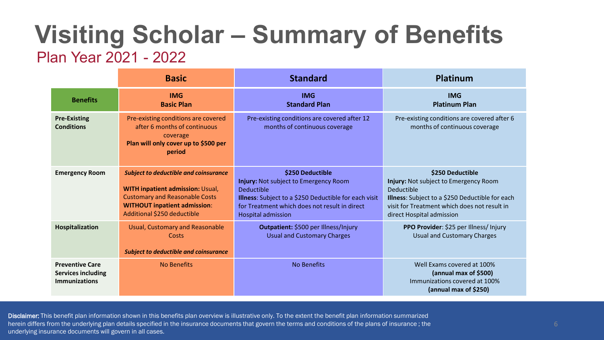### Plan Year 2021 - 2022

|                                                                             | <b>Basic</b>                                                                                                                                                                                           | <b>Standard</b>                                                                                                                                                                                                       | Platinum                                                                                                                                                                                                |
|-----------------------------------------------------------------------------|--------------------------------------------------------------------------------------------------------------------------------------------------------------------------------------------------------|-----------------------------------------------------------------------------------------------------------------------------------------------------------------------------------------------------------------------|---------------------------------------------------------------------------------------------------------------------------------------------------------------------------------------------------------|
| <b>Benefits</b>                                                             | <b>IMG</b><br><b>Basic Plan</b>                                                                                                                                                                        | <b>IMG</b><br><b>Standard Plan</b>                                                                                                                                                                                    | <b>IMG</b><br><b>Platinum Plan</b>                                                                                                                                                                      |
| <b>Pre-Existing</b><br><b>Conditions</b>                                    | Pre-existing conditions are covered<br>after 6 months of continuous<br>coverage<br>Plan will only cover up to \$500 per<br>period                                                                      | Pre-existing conditions are covered after 12<br>months of continuous coverage                                                                                                                                         | Pre-existing conditions are covered after 6<br>months of continuous coverage                                                                                                                            |
| <b>Emergency Room</b>                                                       | <b>Subject to deductible and coinsurance</b><br><b>WITH inpatient admission: Usual,</b><br><b>Customary and Reasonable Costs</b><br><b>WITHOUT inpatient admission:</b><br>Additional \$250 deductible | \$250 Deductible<br>Injury: Not subject to Emergency Room<br><b>Deductible</b><br>Illness: Subject to a \$250 Deductible for each visit<br>for Treatment which does not result in direct<br><b>Hospital admission</b> | \$250 Deductible<br>Injury: Not subject to Emergency Room<br>Deductible<br>Illness: Subject to a \$250 Deductible for each<br>visit for Treatment which does not result in<br>direct Hospital admission |
| Hospitalization                                                             | Usual, Customary and Reasonable<br>Costs<br><b>Subject to deductible and coinsurance</b>                                                                                                               | Outpatient: \$500 per Illness/Injury<br><b>Usual and Customary Charges</b>                                                                                                                                            | PPO Provider: \$25 per Illness/ Injury<br><b>Usual and Customary Charges</b>                                                                                                                            |
| <b>Preventive Care</b><br><b>Services including</b><br><b>Immunizations</b> | <b>No Benefits</b>                                                                                                                                                                                     | <b>No Benefits</b>                                                                                                                                                                                                    | Well Exams covered at 100%<br>(annual max of \$500)<br>Immunizations covered at 100%<br>(annual max of \$250)                                                                                           |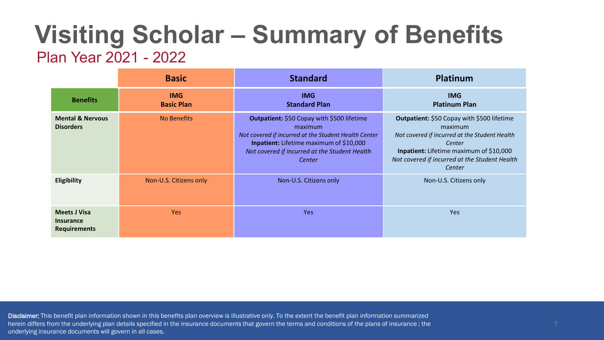#### Plan Year 2021 - 2022

|                                                                | <b>Basic</b>                    | <b>Standard</b>                                                                                                                                                                                                            | <b>Platinum</b>                                                                                                                                                                                                        |
|----------------------------------------------------------------|---------------------------------|----------------------------------------------------------------------------------------------------------------------------------------------------------------------------------------------------------------------------|------------------------------------------------------------------------------------------------------------------------------------------------------------------------------------------------------------------------|
| <b>Benefits</b>                                                | <b>IMG</b><br><b>Basic Plan</b> | <b>IMG</b><br><b>Standard Plan</b>                                                                                                                                                                                         | <b>IMG</b><br><b>Platinum Plan</b>                                                                                                                                                                                     |
| <b>Mental &amp; Nervous</b><br><b>Disorders</b>                | No Benefits                     | Outpatient: \$50 Copay with \$500 lifetime<br>maximum<br>Not covered if incurred at the Student Health Center<br><b>Inpatient:</b> Lifetime maximum of \$10,000<br>Not covered if incurred at the Student Health<br>Center | Outpatient: \$50 Copay with \$500 lifetime<br>maximum<br>Not covered if incurred at the Student Health<br>Center<br>Inpatient: Lifetime maximum of \$10,000<br>Not covered if incurred at the Student Health<br>Center |
| Eligibility                                                    | Non-U.S. Citizens only          | Non-U.S. Citizens only                                                                                                                                                                                                     | Non-U.S. Citizens only                                                                                                                                                                                                 |
| <b>Meets J Visa</b><br><b>Insurance</b><br><b>Requirements</b> | <b>Yes</b>                      | Yes                                                                                                                                                                                                                        | <b>Yes</b>                                                                                                                                                                                                             |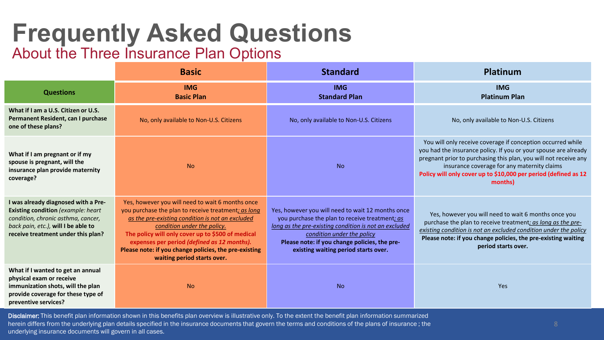# **Frequently Asked Questions**

### About the Three Insurance Plan Options

|                                                                                                                                                                                                     | <b>Basic</b>                                                                                                                                                                                                                                                                                                                                                                           | <b>Standard</b>                                                                                                                                                                                                                                                                     | <b>Platinum</b>                                                                                                                                                                                                                                                                                                                 |
|-----------------------------------------------------------------------------------------------------------------------------------------------------------------------------------------------------|----------------------------------------------------------------------------------------------------------------------------------------------------------------------------------------------------------------------------------------------------------------------------------------------------------------------------------------------------------------------------------------|-------------------------------------------------------------------------------------------------------------------------------------------------------------------------------------------------------------------------------------------------------------------------------------|---------------------------------------------------------------------------------------------------------------------------------------------------------------------------------------------------------------------------------------------------------------------------------------------------------------------------------|
| <b>Questions</b>                                                                                                                                                                                    | <b>IMG</b><br><b>Basic Plan</b>                                                                                                                                                                                                                                                                                                                                                        | <b>IMG</b><br><b>Standard Plan</b>                                                                                                                                                                                                                                                  | <b>IMG</b><br><b>Platinum Plan</b>                                                                                                                                                                                                                                                                                              |
| What if I am a U.S. Citizen or U.S.<br>Permanent Resident, can I purchase<br>one of these plans?                                                                                                    | No, only available to Non-U.S. Citizens                                                                                                                                                                                                                                                                                                                                                | No, only available to Non-U.S. Citizens                                                                                                                                                                                                                                             | No, only available to Non-U.S. Citizens                                                                                                                                                                                                                                                                                         |
| What if I am pregnant or if my<br>spouse is pregnant, will the<br>insurance plan provide maternity<br>coverage?                                                                                     | <b>No</b>                                                                                                                                                                                                                                                                                                                                                                              | <b>No</b>                                                                                                                                                                                                                                                                           | You will only receive coverage if conception occurred while<br>you had the insurance policy. If you or your spouse are already<br>pregnant prior to purchasing this plan, you will not receive any<br>insurance coverage for any maternity claims<br>Policy will only cover up to \$10,000 per period (defined as 12<br>months) |
| I was already diagnosed with a Pre-<br><b>Existing condition</b> (example: heart<br>condition, chronic asthma, cancer,<br>back pain, etc.), will I be able to<br>receive treatment under this plan? | Yes, however you will need to wait 6 months once<br>you purchase the plan to receive treatment; as long<br>as the pre-existing condition is not an excluded<br>condition under the policy.<br>The policy will only cover up to \$500 of medical<br>expenses per period (defined as 12 months).<br>Please note: if you change policies, the pre-existing<br>waiting period starts over. | Yes, however you will need to wait 12 months once<br>you purchase the plan to receive treatment; as<br>long as the pre-existing condition is not an excluded<br>condition under the policy<br>Please note: if you change policies, the pre-<br>existing waiting period starts over. | Yes, however you will need to wait 6 months once you<br>purchase the plan to receive treatment; as long as the pre-<br>existing condition is not an excluded condition under the policy<br>Please note: if you change policies, the pre-existing waiting<br>period starts over.                                                 |
| What if I wanted to get an annual<br>physical exam or receive<br>immunization shots, will the plan<br>provide coverage for these type of<br>preventive services?                                    | <b>No</b>                                                                                                                                                                                                                                                                                                                                                                              | <b>No</b>                                                                                                                                                                                                                                                                           | Yes                                                                                                                                                                                                                                                                                                                             |